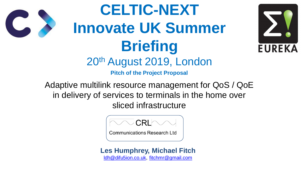Adaptive multilink resource management for QoS / QoE in delivery of services to terminals in the home over sliced infrastructure

**Pitch of the Project Proposal CELTIC-NEXT Innovate UK Summer Briefing** 20th August 2019, London





**Communications Research Ltd** 





#### **Les Humphrey, Michael Fitch** [ldh@difu5ion.co.uk,](mailto:ldh@difu5ion.co.uk) [fitchmr@gmail.com](mailto:fitchmr@gmail.com)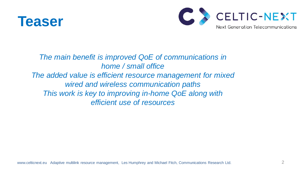

#### *The main benefit is improved QoE of communications in home / small office The added value is efficient resource management for mixed wired and wireless communication paths This work is key to improving in-home QoE along with efficient use of resources*

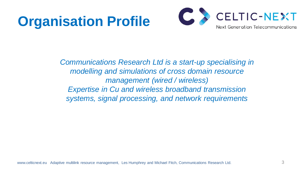# **Organisation Profile**

**Communications Research Ltd is a start-up specialising in** *modelling and simulations of cross domain resource management (wired / wireless) Expertise in Cu and wireless broadband transmission systems, signal processing, and network requirements*

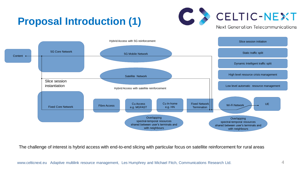## **Proposal Introduction (1)**



The challenge of interest is hybrid access with end-to-end slicing with particular focus on satellite reinforcement for rural areas



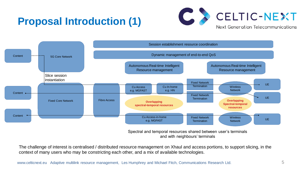### **Proposal Introduction (1)**

The challenge of interest is centralised / distributed resource management on Xhaul and access portions, to support slicing, in the context of many users who may be constricting each other, and a mix of available technologies.



Spectral and temporal resources shared between user's terminals and with neighbours' terminals

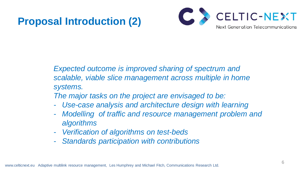### **Proposal Introduction (2)**

6

#### *Expected outcome is improved sharing of spectrum and scalable, viable slice management across multiple in home*

*systems.*

*The major tasks on the project are envisaged to be:* - *Use-case analysis and architecture design with learning* - *Modelling of traffic and resource management problem and* 

- 
- *algorithms*
- *Verification of algorithms on test-beds*
- *Standards participation with contributions*

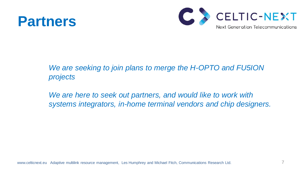# **Partners**

7

#### *We are seeking to join plans to merge the H-OPTO and FU5ION*

*projects* 

We are here to seek out partners, and would like to work with *systems integrators, in-home terminal vendors and chip designers.*